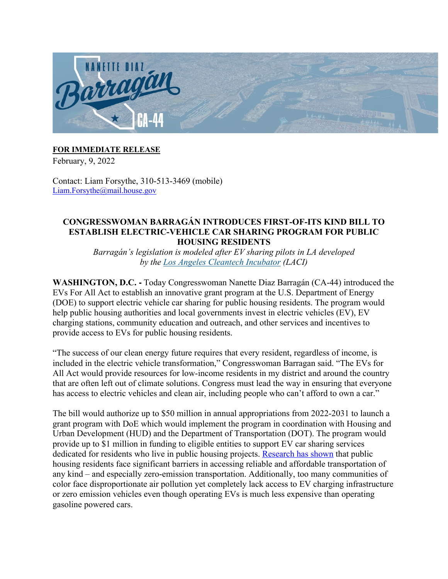

## **FOR IMMEDIATE RELEASE**

February, 9, 2022

Contact: Liam Forsythe, 310-513-3469 (mobile) Liam.Forsythe@mail.house.gov

## **CONGRESSWOMAN BARRAGÁN INTRODUCES FIRST-OF-ITS KIND BILL TO ESTABLISH ELECTRIC-VEHICLE CAR SHARING PROGRAM FOR PUBLIC HOUSING RESIDENTS**

*Barragán's legislation is modeled after EV sharing pilots in LA developed by the Los Angeles Cleantech Incubator (LACI)*

**WASHINGTON, D.C. -** Today Congresswoman Nanette Diaz Barragán (CA-44) introduced the EVs For All Act to establish an innovative grant program at the U.S. Department of Energy (DOE) to support electric vehicle car sharing for public housing residents. The program would help public housing authorities and local governments invest in electric vehicles (EV), EV charging stations, community education and outreach, and other services and incentives to provide access to EVs for public housing residents.

"The success of our clean energy future requires that every resident, regardless of income, is included in the electric vehicle transformation," Congresswoman Barragan said. "The EVs for All Act would provide resources for low-income residents in my district and around the country that are often left out of climate solutions. Congress must lead the way in ensuring that everyone has access to electric vehicles and clean air, including people who can't afford to own a car."

The bill would authorize up to \$50 million in annual appropriations from 2022-2031 to launch a grant program with DoE which would implement the program in coordination with Housing and Urban Development (HUD) and the Department of Transportation (DOT). The program would provide up to \$1 million in funding to eligible entities to support EV car sharing services dedicated for residents who live in public housing projects. Research has shown that public housing residents face significant barriers in accessing reliable and affordable transportation of any kind – and especially zero-emission transportation. Additionally, too many communities of color face disproportionate air pollution yet completely lack access to EV charging infrastructure or zero emission vehicles even though operating EVs is much less expensive than operating gasoline powered cars.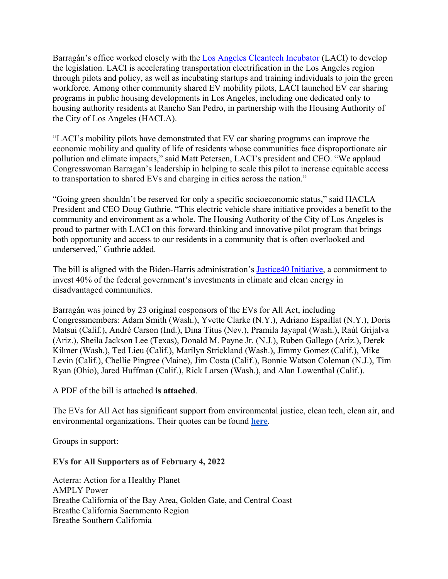Barragán's office worked closely with the Los Angeles Cleantech Incubator (LACI) to develop the legislation. LACI is accelerating transportation electrification in the Los Angeles region through pilots and policy, as well as incubating startups and training individuals to join the green workforce. Among other community shared EV mobility pilots, LACI launched EV car sharing programs in public housing developments in Los Angeles, including one dedicated only to housing authority residents at Rancho San Pedro, in partnership with the Housing Authority of the City of Los Angeles (HACLA).

"LACI's mobility pilots have demonstrated that EV car sharing programs can improve the economic mobility and quality of life of residents whose communities face disproportionate air pollution and climate impacts," said Matt Petersen, LACI's president and CEO. "We applaud Congresswoman Barragan's leadership in helping to scale this pilot to increase equitable access to transportation to shared EVs and charging in cities across the nation."

"Going green shouldn't be reserved for only a specific socioeconomic status," said HACLA President and CEO Doug Guthrie. "This electric vehicle share initiative provides a benefit to the community and environment as a whole. The Housing Authority of the City of Los Angeles is proud to partner with LACI on this forward-thinking and innovative pilot program that brings both opportunity and access to our residents in a community that is often overlooked and underserved," Guthrie added.

The bill is aligned with the Biden-Harris administration's Justice40 Initiative, a commitment to invest 40% of the federal government's investments in climate and clean energy in disadvantaged communities.

Barragán was joined by 23 original cosponsors of the EVs for All Act, including Congressmembers: Adam Smith (Wash.), Yvette Clarke (N.Y.), Adriano Espaillat (N.Y.), Doris Matsui (Calif.), André Carson (Ind.), Dina Titus (Nev.), Pramila Jayapal (Wash.), Raúl Grijalva (Ariz.), Sheila Jackson Lee (Texas), Donald M. Payne Jr. (N.J.), Ruben Gallego (Ariz.), Derek Kilmer (Wash.), Ted Lieu (Calif.), Marilyn Strickland (Wash.), Jimmy Gomez (Calif.), Mike Levin (Calif.), Chellie Pingree (Maine), Jim Costa (Calif.), Bonnie Watson Coleman (N.J.), Tim Ryan (Ohio), Jared Huffman (Calif.), Rick Larsen (Wash.), and Alan Lowenthal (Calif.).

A PDF of the bill is attached **is attached**.

The EVs for All Act has significant support from environmental justice, clean tech, clean air, and environmental organizations. Their quotes can be found **here**.

Groups in support:

## **EVs for All Supporters as of February 4, 2022**

Acterra: Action for a Healthy Planet AMPLY Power Breathe California of the Bay Area, Golden Gate, and Central Coast Breathe California Sacramento Region Breathe Southern California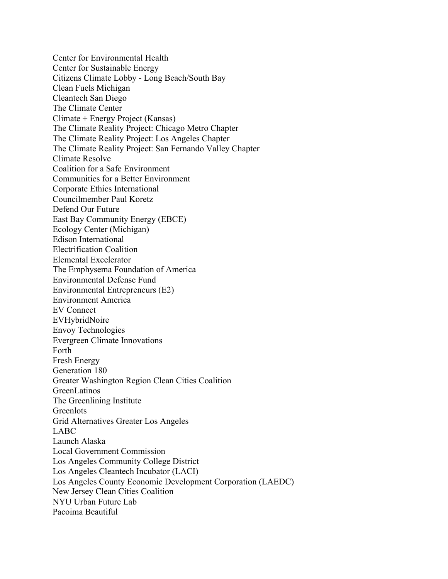Center for Environmental Health Center for Sustainable Energy Citizens Climate Lobby - Long Beach/South Bay Clean Fuels Michigan Cleantech San Diego The Climate Center Climate + Energy Project (Kansas) The Climate Reality Project: Chicago Metro Chapter The Climate Reality Project: Los Angeles Chapter The Climate Reality Project: San Fernando Valley Chapter Climate Resolve Coalition for a Safe Environment Communities for a Better Environment Corporate Ethics International Councilmember Paul Koretz Defend Our Future East Bay Community Energy (EBCE) Ecology Center (Michigan) Edison International Electrification Coalition Elemental Excelerator The Emphysema Foundation of America Environmental Defense Fund Environmental Entrepreneurs (E2) Environment America EV Connect EVHybridNoire Envoy Technologies Evergreen Climate Innovations Forth Fresh Energy Generation 180 Greater Washington Region Clean Cities Coalition **GreenLatinos** The Greenlining Institute Greenlots Grid Alternatives Greater Los Angeles LABC Launch Alaska Local Government Commission Los Angeles Community College District Los Angeles Cleantech Incubator (LACI) Los Angeles County Economic Development Corporation (LAEDC) New Jersey Clean Cities Coalition NYU Urban Future Lab Pacoima Beautiful